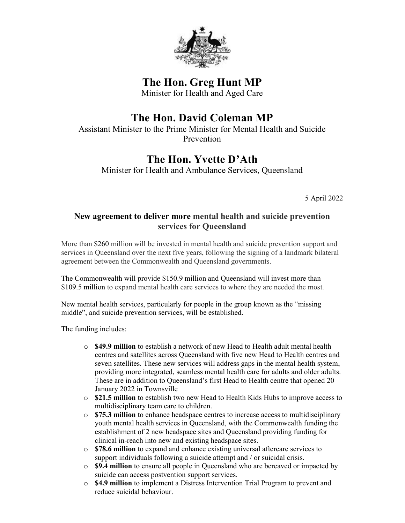

The Hon. Greg Hunt MP

Minister for Health and Aged Care

## The Hon. David Coleman MP

Assistant Minister to the Prime Minister for Mental Health and Suicide Prevention

## The Hon. Yvette D'Ath

Minister for Health and Ambulance Services, Queensland

5 April 2022

## New agreement to deliver more mental health and suicide prevention services for Queensland

More than \$260 million will be invested in mental health and suicide prevention support and services in Queensland over the next five years, following the signing of a landmark bilateral agreement between the Commonwealth and Queensland governments.

The Commonwealth will provide \$150.9 million and Queensland will invest more than \$109.5 million to expand mental health care services to where they are needed the most.

New mental health services, particularly for people in the group known as the "missing middle", and suicide prevention services, will be established.

The funding includes:

- $\circ$  \$49.9 million to establish a network of new Head to Health adult mental health centres and satellites across Queensland with five new Head to Health centres and seven satellites. These new services will address gaps in the mental health system, providing more integrated, seamless mental health care for adults and older adults. These are in addition to Queensland's first Head to Health centre that opened 20 January 2022 in Townsville
- o \$21.5 million to establish two new Head to Health Kids Hubs to improve access to multidisciplinary team care to children.
- o \$75.3 million to enhance headspace centres to increase access to multidisciplinary youth mental health services in Queensland, with the Commonwealth funding the establishment of 2 new headspace sites and Queensland providing funding for clinical in-reach into new and existing headspace sites.
- o \$78.6 million to expand and enhance existing universal aftercare services to support individuals following a suicide attempt and / or suicidal crisis.
- $\circ$  \$9.4 million to ensure all people in Queensland who are bereaved or impacted by suicide can access postvention support services.
- $\circ$  \$4.9 million to implement a Distress Intervention Trial Program to prevent and reduce suicidal behaviour.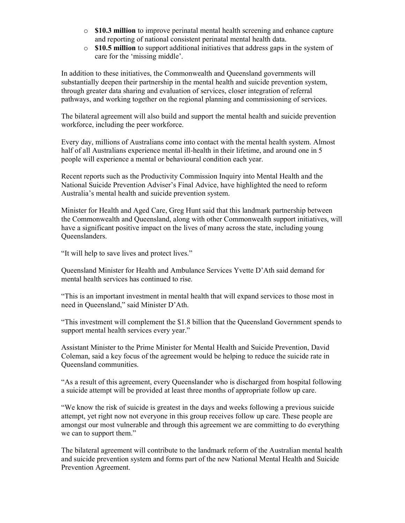- $\circ$  \$10.3 million to improve perinatal mental health screening and enhance capture and reporting of national consistent perinatal mental health data.
- $\circ$  \$10.5 million to support additional initiatives that address gaps in the system of care for the 'missing middle'.

In addition to these initiatives, the Commonwealth and Queensland governments will substantially deepen their partnership in the mental health and suicide prevention system, through greater data sharing and evaluation of services, closer integration of referral pathways, and working together on the regional planning and commissioning of services.

The bilateral agreement will also build and support the mental health and suicide prevention workforce, including the peer workforce.

Every day, millions of Australians come into contact with the mental health system. Almost half of all Australians experience mental ill-health in their lifetime, and around one in 5 people will experience a mental or behavioural condition each year.

Recent reports such as the Productivity Commission Inquiry into Mental Health and the National Suicide Prevention Adviser's Final Advice, have highlighted the need to reform Australia's mental health and suicide prevention system.

Minister for Health and Aged Care, Greg Hunt said that this landmark partnership between the Commonwealth and Queensland, along with other Commonwealth support initiatives, will have a significant positive impact on the lives of many across the state, including young Queenslanders.

"It will help to save lives and protect lives."

Queensland Minister for Health and Ambulance Services Yvette D'Ath said demand for mental health services has continued to rise.

"This is an important investment in mental health that will expand services to those most in need in Queensland," said Minister D'Ath.

"This investment will complement the \$1.8 billion that the Queensland Government spends to support mental health services every year."

Assistant Minister to the Prime Minister for Mental Health and Suicide Prevention, David Coleman, said a key focus of the agreement would be helping to reduce the suicide rate in Queensland communities.

"As a result of this agreement, every Queenslander who is discharged from hospital following a suicide attempt will be provided at least three months of appropriate follow up care.

"We know the risk of suicide is greatest in the days and weeks following a previous suicide attempt, yet right now not everyone in this group receives follow up care. These people are amongst our most vulnerable and through this agreement we are committing to do everything we can to support them."

The bilateral agreement will contribute to the landmark reform of the Australian mental health and suicide prevention system and forms part of the new National Mental Health and Suicide Prevention Agreement.